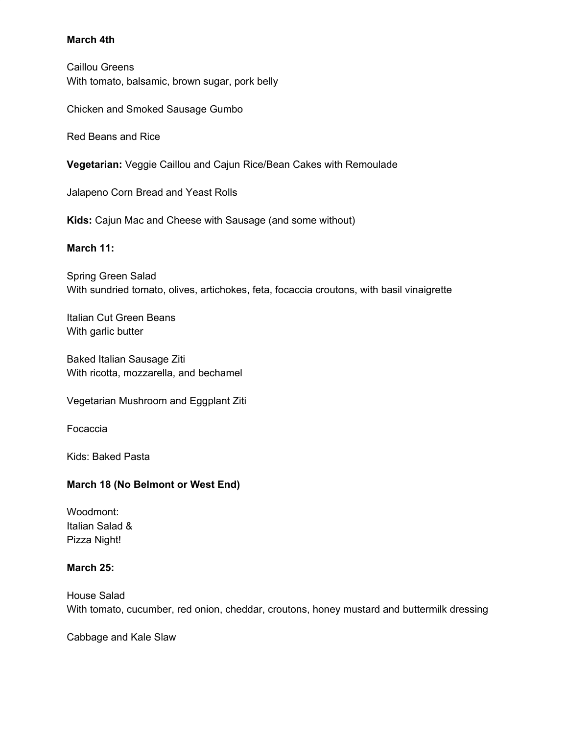## **March 4th**

Caillou Greens With tomato, balsamic, brown sugar, pork belly

Chicken and Smoked Sausage Gumbo

Red Beans and Rice

**Vegetarian:** Veggie Caillou and Cajun Rice/Bean Cakes with Remoulade

Jalapeno Corn Bread and Yeast Rolls

**Kids:** Cajun Mac and Cheese with Sausage (and some without)

### **March 11:**

Spring Green Salad With sundried tomato, olives, artichokes, feta, focaccia croutons, with basil vinaigrette

Italian Cut Green Beans With garlic butter

Baked Italian Sausage Ziti With ricotta, mozzarella, and bechamel

Vegetarian Mushroom and Eggplant Ziti

Focaccia

Kids: Baked Pasta

# **March 18 (No Belmont or West End)**

Woodmont: Italian Salad & Pizza Night!

### **March 25:**

House Salad With tomato, cucumber, red onion, cheddar, croutons, honey mustard and buttermilk dressing

Cabbage and Kale Slaw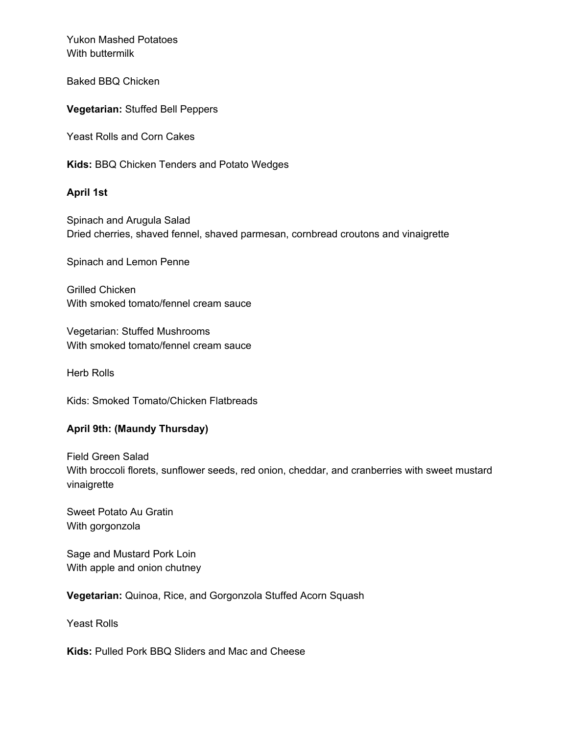Yukon Mashed Potatoes With buttermilk

Baked BBQ Chicken

**Vegetarian:** Stuffed Bell Peppers

Yeast Rolls and Corn Cakes

**Kids:** BBQ Chicken Tenders and Potato Wedges

## **April 1st**

Spinach and Arugula Salad Dried cherries, shaved fennel, shaved parmesan, cornbread croutons and vinaigrette

Spinach and Lemon Penne

Grilled Chicken With smoked tomato/fennel cream sauce

Vegetarian: Stuffed Mushrooms With smoked tomato/fennel cream sauce

Herb Rolls

Kids: Smoked Tomato/Chicken Flatbreads

### **April 9th: (Maundy Thursday)**

Field Green Salad With broccoli florets, sunflower seeds, red onion, cheddar, and cranberries with sweet mustard vinaigrette

Sweet Potato Au Gratin With gorgonzola

Sage and Mustard Pork Loin With apple and onion chutney

**Vegetarian:** Quinoa, Rice, and Gorgonzola Stuffed Acorn Squash

Yeast Rolls

**Kids:** Pulled Pork BBQ Sliders and Mac and Cheese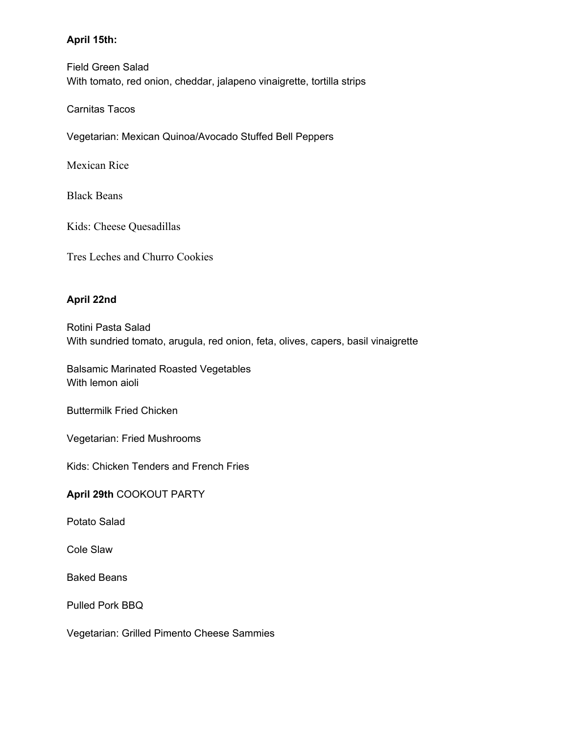# **April 15th:**

Field Green Salad With tomato, red onion, cheddar, jalapeno vinaigrette, tortilla strips

Carnitas Tacos

Vegetarian: Mexican Quinoa/Avocado Stuffed Bell Peppers

Mexican Rice

Black Beans

Kids: Cheese Quesadillas

Tres Leches and Churro Cookies

# **April 22nd**

Rotini Pasta Salad With sundried tomato, arugula, red onion, feta, olives, capers, basil vinaigrette

Balsamic Marinated Roasted Vegetables With lemon aioli

Buttermilk Fried Chicken

Vegetarian: Fried Mushrooms

Kids: Chicken Tenders and French Fries

**April 29th** COOKOUT PARTY

Potato Salad

Cole Slaw

Baked Beans

Pulled Pork BBQ

Vegetarian: Grilled Pimento Cheese Sammies